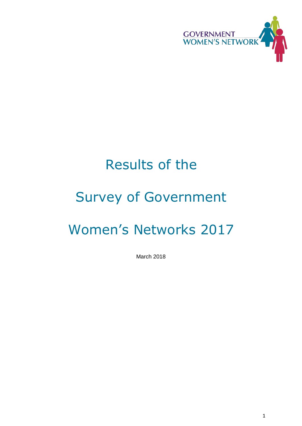

# Results of the

# Survey of Government

# Women's Networks 2017

March 2018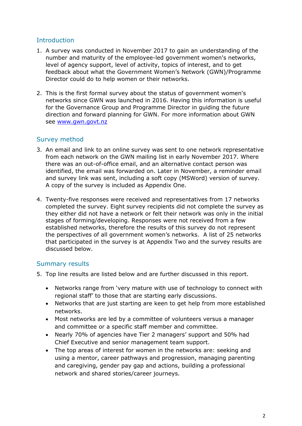# **Introduction**

- 1. A survey was conducted in November 2017 to gain an understanding of the number and maturity of the employee-led government women's networks, level of agency support, level of activity, topics of interest, and to get feedback about what the Government Women's Network (GWN)/Programme Director could do to help women or their networks.
- 2. This is the first formal survey about the status of government women's networks since GWN was launched in 2016. Having this information is useful for the Governance Group and Programme Director in guiding the future direction and forward planning for GWN. For more information about GWN see [www.gwn.govt.nz](file:///C:/Users/CHINLIZ/AppData/Local/Microsoft/Windows/Temporary%20Internet%20Files/Content.IE5/2ACX8SZN/www.gwn.govt.nz)

# Survey method

- 3. An email and link to an online survey was sent to one network representative from each network on the GWN mailing list in early November 2017. Where there was an out-of-office email, and an alternative contact person was identified, the email was forwarded on. Later in November, a reminder email and survey link was sent, including a soft copy (MSWord) version of survey. A copy of the survey is included as Appendix One.
- 4. Twenty-five responses were received and representatives from 17 networks completed the survey. Eight survey recipients did not complete the survey as they either did not have a network or felt their network was only in the initial stages of forming/developing. Responses were not received from a few established networks, therefore the results of this survey do not represent the perspectives of all government women's networks. A list of 25 networks that participated in the survey is at Appendix Two and the survey results are discussed below.

## Summary results

- 5. Top line results are listed below and are further discussed in this report.
	- Networks range from 'very mature with use of technology to connect with regional staff' to those that are starting early discussions.
	- Networks that are just starting are keen to get help from more established networks.
	- Most networks are led by a committee of volunteers versus a manager and committee or a specific staff member and committee.
	- Nearly 70% of agencies have Tier 2 managers' support and 50% had Chief Executive and senior management team support.
	- The top areas of interest for women in the networks are: seeking and using a mentor, career pathways and progression, managing parenting and caregiving, gender pay gap and actions, building a professional network and shared stories/career journeys.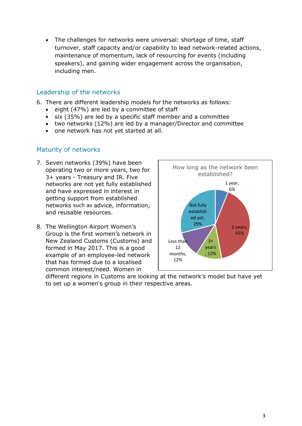• The challenges for networks were universal: shortage of time, staff turnover, staff capacity and/or capability to lead network-related actions, maintenance of momentum, lack of resourcing for events (including speakers), and gaining wider engagement across the organisation, including men.

# Leadership of the networks

- 6. There are different leadership models for the networks as follows:
	- eight (47%) are led by a committee of staff
	- six (35%) are led by a specific staff member and a committee
	- two networks (12%) are led by a manager/Director and committee
	- one network has not yet started at all.

# Maturity of networks

- 7. Seven networks (39%) have been operating two or more years, two for 3+ years - Treasury and IR. Five networks are not yet fully established and have expressed in interest in getting support from established networks such as advice, information, and reusable resources.
- 8. The Wellington Airport Women's Group is the first women's network in New Zealand Customs (Customs) and formed in May 2017. This is a good example of an employee-led network that has formed due to a localised common interest/need. Women in



different regions in Customs are looking at the network's model but have yet to set up a women's group in their respective areas.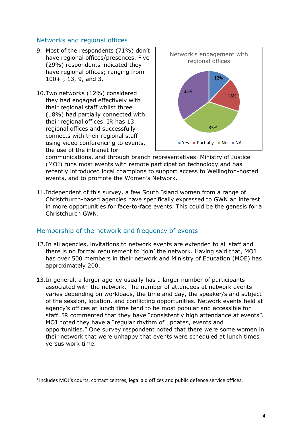# Networks and regional offices

- 9. Most of the respondents (71%) don't have regional offices/presences. Five (29%) respondents indicated they have regional offices; ranging from  $100+$ <sup>1</sup>, 13, 9, and 3.
- 10.Two networks (12%) considered they had engaged effectively with their regional staff whilst three (18%) had partially connected with their regional offices. IR has 13 regional offices and successfully connects with their regional staff using video conferencing to events, the use of the intranet for

**.** 



communications, and through branch representatives. Ministry of Justice (MOJ) runs most events with remote participation technology and has recently introduced local champions to support access to Wellington-hosted events, and to promote the Women's Network.

11.Independent of this survey, a few South Island women from a range of Christchurch-based agencies have specifically expressed to GWN an interest in more opportunities for face-to-face events. This could be the genesis for a Christchurch GWN.

## Membership of the network and frequency of events

- 12.In all agencies, invitations to network events are extended to all staff and there is no formal requirement to 'join' the network. Having said that, MOJ has over 500 members in their network and Ministry of Education (MOE) has approximately 200.
- 13.In general, a larger agency usually has a larger number of participants associated with the network. The number of attendees at network events varies depending on workloads, the time and day, the speaker/s and subject of the session, location, and conflicting opportunities. Network events held at agency's offices at lunch time tend to be most popular and accessible for staff. IR commented that they have "consistently high attendance at events". MOJ noted they have a "regular rhythm of updates, events and opportunities." One survey respondent noted that there were some women in their network that were unhappy that events were scheduled at lunch times versus work time.

<sup>&</sup>lt;sup>1</sup> Includes MOJ's courts, contact centres, legal aid offices and public defence service offices.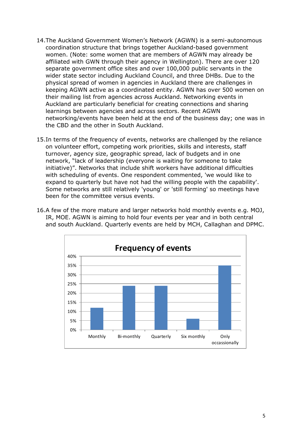- 14.The Auckland Government Women's Network (AGWN) is a semi-autonomous coordination structure that brings together Auckland-based government women. (Note: some women that are members of AGWN may already be affiliated with GWN through their agency in Wellington). There are over 120 separate government office sites and over 100,000 public servants in the wider state sector including Auckland Council, and three DHBs. Due to the physical spread of women in agencies in Auckland there are challenges in keeping AGWN active as a coordinated entity. AGWN has over 500 women on their mailing list from agencies across Auckland. Networking events in Auckland are particularly beneficial for creating connections and sharing learnings between agencies and across sectors. Recent AGWN networking/events have been held at the end of the business day; one was in the CBD and the other in South Auckland.
- 15.In terms of the frequency of events, networks are challenged by the reliance on volunteer effort, competing work priorities, skills and interests, staff turnover, agency size, geographic spread, lack of budgets and in one network, "lack of leadership (everyone is waiting for someone to take initiative)". Networks that include shift workers have additional difficulties with scheduling of events. One respondent commented, 'we would like to expand to quarterly but have not had the willing people with the capability'. Some networks are still relatively 'young' or 'still forming' so meetings have been for the committee versus events.
- 16.A few of the more mature and larger networks hold monthly events e.g. MOJ, IR, MOE. AGWN is aiming to hold four events per year and in both central and south Auckland. Quarterly events are held by MCH, Callaghan and DPMC.

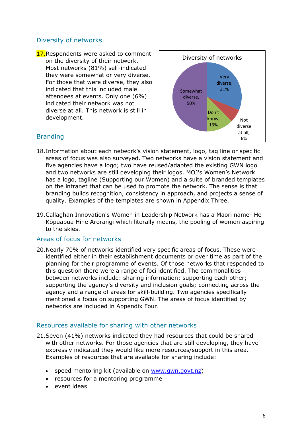# Diversity of networks

17. Respondents were asked to comment on the diversity of their network. Most networks (81%) self-indicated they were somewhat or very diverse. For those that were diverse, they also indicated that this included male attendees at events. Only one (6%) indicated their network was not diverse at all. This network is still in development.



# Branding

- 18.Information about each network's vision statement, logo, tag line or specific areas of focus was also surveyed. Two networks have a vision statement and five agencies have a logo; two have reused/adapted the existing GWN logo and two networks are still developing their logos. MOJ's Women's Network has a logo, tagline (Supporting our Women) and a suite of branded templates on the intranet that can be used to promote the network. The sense is that branding builds recognition, consistency in approach, and projects a sense of quality. Examples of the templates are shown in Appendix Three.
- 19.Callaghan Innovation's Women in Leadership Network has a Maori name- He Kōpuapua Hine Arorangi which literally means, the pooling of women aspiring to the skies.

#### Areas of focus for networks

20.Nearly 70% of networks identified very specific areas of focus. These were identified either in their establishment documents or over time as part of the planning for their programme of events. Of those networks that responded to this question there were a range of foci identified. The commonalities between networks include: sharing information; supporting each other; supporting the agency's diversity and inclusion goals; connecting across the agency and a range of areas for skill-building. Two agencies specifically mentioned a focus on supporting GWN. The areas of focus identified by networks are included in Appendix Four.

#### Resources available for sharing with other networks

- 21.Seven (41%) networks indicated they had resources that could be shared with other networks. For those agencies that are still developing, they have expressly indicated they would like more resources/support in this area. Examples of resources that are available for sharing include:
	- speed mentoring kit (available on [www.gwn.govt.nz\)](http://www.gwn.govt.nz/)
	- resources for a mentoring programme
	- event ideas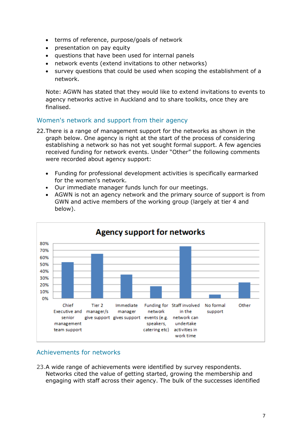- terms of reference, purpose/goals of network
- presentation on pay equity
- questions that have been used for internal panels
- network events (extend invitations to other networks)
- survey questions that could be used when scoping the establishment of a network.

Note: AGWN has stated that they would like to extend invitations to events to agency networks active in Auckland and to share toolkits, once they are finalised.

# Women's network and support from their agency

- 22.There is a range of management support for the networks as shown in the graph below. One agency is right at the start of the process of considering establishing a network so has not yet sought formal support. A few agencies received funding for network events. Under "Other" the following comments were recorded about agency support:
	- Funding for professional development activities is specifically earmarked for the women's network.
	- Our immediate manager funds lunch for our meetings.
	- AGWN is not an agency network and the primary source of support is from GWN and active members of the working group (largely at tier 4 and below).



## Achievements for networks

23.A wide range of achievements were identified by survey respondents. Networks cited the value of getting started, growing the membership and engaging with staff across their agency. The bulk of the successes identified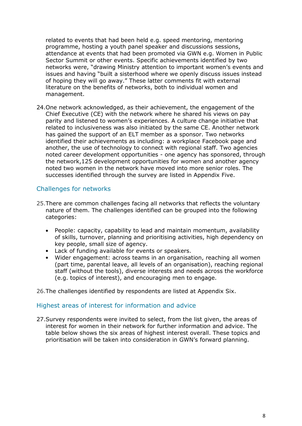related to events that had been held e.g. speed mentoring, mentoring programme, hosting a youth panel speaker and discussions sessions, attendance at events that had been promoted via GWN e.g. Women in Public Sector Summit or other events. Specific achievements identified by two networks were, "drawing Ministry attention to important women's events and issues and having "built a sisterhood where we openly discuss issues instead of hoping they will go away." These latter comments fit with external literature on the benefits of networks, both to individual women and management.

24.One network acknowledged, as their achievement, the engagement of the Chief Executive (CE) with the network where he shared his views on pay parity and listened to women's experiences. A culture change initiative that related to inclusiveness was also initiated by the same CE. Another network has gained the support of an ELT member as a sponsor. Two networks identified their achievements as including: a workplace Facebook page and another, the use of technology to connect with regional staff. Two agencies noted career development opportunities - one agency has sponsored, through the network,125 development opportunities for women and another agency noted two women in the network have moved into more senior roles. The successes identified through the survey are listed in Appendix Five.

## Challenges for networks

- 25.There are common challenges facing all networks that reflects the voluntary nature of them. The challenges identified can be grouped into the following categories:
	- People: capacity, capability to lead and maintain momentum, availability of skills, turnover, planning and prioritising activities, high dependency on key people, small size of agency.
	- Lack of funding available for events or speakers.
	- Wider engagement: across teams in an organisation, reaching all women (part time, parental leave, all levels of an organisation), reaching regional staff (without the tools), diverse interests and needs across the workforce (e.g. topics of interest), and encouraging men to engage.

26.The challenges identified by respondents are listed at Appendix Six.

#### Highest areas of interest for information and advice

27.Survey respondents were invited to select, from the list given, the areas of interest for women in their network for further information and advice. The table below shows the six areas of highest interest overall. These topics and prioritisation will be taken into consideration in GWN's forward planning.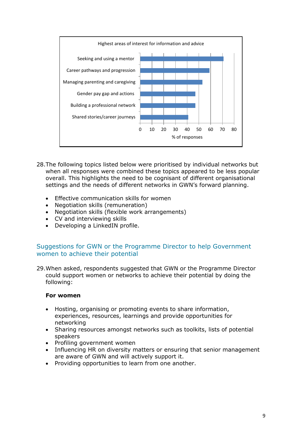

- 28.The following topics listed below were prioritised by individual networks but when all responses were combined these topics appeared to be less popular overall. This highlights the need to be cognisant of different organisational settings and the needs of different networks in GWN's forward planning.
	- Effective communication skills for women
	- Negotiation skills (remuneration)
	- Negotiation skills (flexible work arrangements)
	- CV and interviewing skills
	- Developing a LinkedIN profile.

# Suggestions for GWN or the Programme Director to help Government women to achieve their potential

29.When asked, respondents suggested that GWN or the Programme Director could support women or networks to achieve their potential by doing the following:

#### **For women**

- Hosting, organising or promoting events to share information, experiences, resources, learnings and provide opportunities for networking
- Sharing resources amongst networks such as toolkits, lists of potential speakers
- Profiling government women
- Influencing HR on diversity matters or ensuring that senior management are aware of GWN and will actively support it.
- Providing opportunities to learn from one another.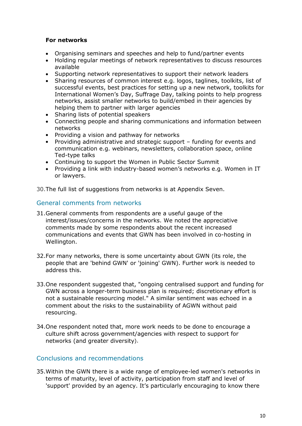#### **For networks**

- Organising seminars and speeches and help to fund/partner events
- Holding regular meetings of network representatives to discuss resources available
- Supporting network representatives to support their network leaders
- Sharing resources of common interest e.g. logos, taglines, toolkits, list of successful events, best practices for setting up a new network, toolkits for International Women's Day, Suffrage Day, talking points to help progress networks, assist smaller networks to build/embed in their agencies by helping them to partner with larger agencies
- Sharing lists of potential speakers
- Connecting people and sharing communications and information between networks
- Providing a vision and pathway for networks
- Providing administrative and strategic support funding for events and communication e.g. webinars, newsletters, collaboration space, online Ted-type talks
- Continuing to support the Women in Public Sector Summit
- Providing a link with industry-based women's networks e.g. Women in IT or lawyers.

30.The full list of suggestions from networks is at Appendix Seven.

#### General comments from networks

- 31.General comments from respondents are a useful gauge of the interest/issues/concerns in the networks. We noted the appreciative comments made by some respondents about the recent increased communications and events that GWN has been involved in co-hosting in Wellington.
- 32.For many networks, there is some uncertainty about GWN (its role, the people that are 'behind GWN' or 'joining' GWN). Further work is needed to address this.
- 33.One respondent suggested that, "ongoing centralised support and funding for GWN across a longer-term business plan is required; discretionary effort is not a sustainable resourcing model." A similar sentiment was echoed in a comment about the risks to the sustainability of AGWN without paid resourcing.
- 34.One respondent noted that, more work needs to be done to encourage a culture shift across government/agencies with respect to support for networks (and greater diversity).

## Conclusions and recommendations

35.Within the GWN there is a wide range of employee-led women's networks in terms of maturity, level of activity, participation from staff and level of 'support' provided by an agency. It's particularly encouraging to know there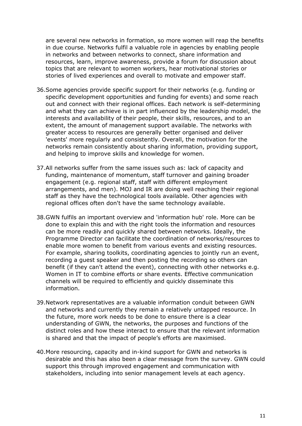are several new networks in formation, so more women will reap the benefits in due course. Networks fulfil a valuable role in agencies by enabling people in networks and between networks to connect, share information and resources, learn, improve awareness, provide a forum for discussion about topics that are relevant to women workers, hear motivational stories or stories of lived experiences and overall to motivate and empower staff.

- 36.Some agencies provide specific support for their networks (e.g. funding or specific development opportunities and funding for events) and some reach out and connect with their regional offices. Each network is self-determining and what they can achieve is in part influenced by the leadership model, the interests and availability of their people, their skills, resources, and to an extent, the amount of management support available. The networks with greater access to resources are generally better organised and deliver 'events' more regularly and consistently. Overall, the motivation for the networks remain consistently about sharing information, providing support, and helping to improve skills and knowledge for women.
- 37.All networks suffer from the same issues such as: lack of capacity and funding, maintenance of momentum, staff turnover and gaining broader engagement (e.g. regional staff, staff with different employment arrangements, and men). MOJ and IR are doing well reaching their regional staff as they have the technological tools available. Other agencies with regional offices often don't have the same technology available.
- 38.GWN fulfils an important overview and 'information hub' role. More can be done to explain this and with the right tools the information and resources can be more readily and quickly shared between networks. Ideally, the Programme Director can facilitate the coordination of networks/resources to enable more women to benefit from various events and existing resources. For example, sharing toolkits, coordinating agencies to jointly run an event, recording a guest speaker and then posting the recording so others can benefit (if they can't attend the event), connecting with other networks e.g. Women in IT to combine efforts or share events. Effective communication channels will be required to efficiently and quickly disseminate this information.
- 39.Network representatives are a valuable information conduit between GWN and networks and currently they remain a relatively untapped resource. In the future, more work needs to be done to ensure there is a clear understanding of GWN, the networks, the purposes and functions of the distinct roles and how these interact to ensure that the relevant information is shared and that the impact of people's efforts are maximised.
- 40.More resourcing, capacity and in-kind support for GWN and networks is desirable and this has also been a clear message from the survey. GWN could support this through improved engagement and communication with stakeholders, including into senior management levels at each agency.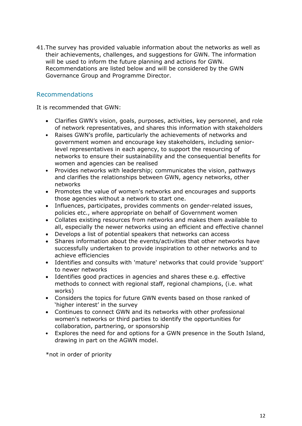41.The survey has provided valuable information about the networks as well as their achievements, challenges, and suggestions for GWN. The information will be used to inform the future planning and actions for GWN. Recommendations are listed below and will be considered by the GWN Governance Group and Programme Director.

# Recommendations

It is recommended that GWN:

- Clarifies GWN's vision, goals, purposes, activities, key personnel, and role of network representatives, and shares this information with stakeholders
- Raises GWN's profile, particularly the achievements of networks and government women and encourage key stakeholders, including seniorlevel representatives in each agency, to support the resourcing of networks to ensure their sustainability and the consequential benefits for women and agencies can be realised
- Provides networks with leadership; communicates the vision, pathways and clarifies the relationships between GWN, agency networks, other networks
- Promotes the value of women's networks and encourages and supports those agencies without a network to start one.
- Influences, participates, provides comments on gender-related issues, policies etc., where appropriate on behalf of Government women
- Collates existing resources from networks and makes them available to all, especially the newer networks using an efficient and effective channel
- Develops a list of potential speakers that networks can access
- Shares information about the events/activities that other networks have successfully undertaken to provide inspiration to other networks and to achieve efficiencies
- Identifies and consults with 'mature' networks that could provide 'support' to newer networks
- Identifies good practices in agencies and shares these e.g. effective methods to connect with regional staff, regional champions, (i.e. what works)
- Considers the topics for future GWN events based on those ranked of 'higher interest' in the survey
- Continues to connect GWN and its networks with other professional women's networks or third parties to identify the opportunities for collaboration, partnering, or sponsorship
- Explores the need for and options for a GWN presence in the South Island, drawing in part on the AGWN model.

\*not in order of priority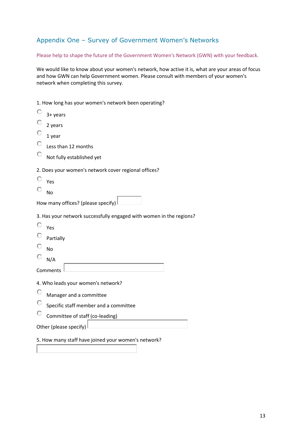# Appendix One – Survey of Government Women's Networks

Please help to shape the future of the Government Women's Network (GWN) with your feedback.

We would like to know about your women's network, how active it is, what are your areas of focus and how GWN can help Government women. Please consult with members of your women's network when completing this survey.

1. How long has your women's network been operating?

| О                                  | 3+ years                                                            |  |
|------------------------------------|---------------------------------------------------------------------|--|
|                                    | 2 years                                                             |  |
|                                    | 1 year                                                              |  |
| O                                  | Less than 12 months                                                 |  |
| O                                  | Not fully established yet                                           |  |
|                                    | 2. Does your women's network cover regional offices?                |  |
| О                                  | Yes                                                                 |  |
|                                    | <b>No</b>                                                           |  |
|                                    | How many offices? (please specify)                                  |  |
|                                    | 3. Has your network successfully engaged with women in the regions? |  |
| O                                  | Yes                                                                 |  |
|                                    | Partially                                                           |  |
|                                    | <b>No</b>                                                           |  |
|                                    | N/A                                                                 |  |
|                                    | Comments                                                            |  |
| 4. Who leads your women's network? |                                                                     |  |
| О                                  | Manager and a committee                                             |  |
|                                    | Specific staff member and a committee                               |  |
|                                    | Committee of staff (co-leading)                                     |  |
| Other (please specify)             |                                                                     |  |
|                                    |                                                                     |  |

5. How many staff have joined your women's network?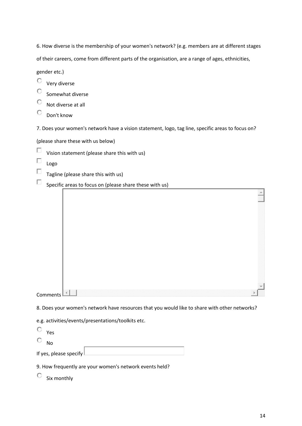6. How diverse is the membership of your women's network? (e.g. members are at different stages

of their careers, come from different parts of the organisation, are a range of ages, ethnicities,

gender etc.)

- $\circ$ Very diverse
- $\circ$ Somewhat diverse
- O Not diverse at all
- O Don't know
- 7. Does your women's network have a vision statement, logo, tag line, specific areas to focus on?

(please share these with us below)

- П Vision statement (please share this with us)
- П Logo
- $\Box$ Tagline (please share this with us)
- $\Box$ Specific areas to focus on (please share these with us)

| Comments $L$ | m |  |
|--------------|---|--|

8. Does your women's network have resources that you would like to share with other networks?

e.g. activities/events/presentations/toolkits etc.

Yes

O No

If yes, please specify

9. How frequently are your women's network events held?

 $\mathbb{C}$  six monthly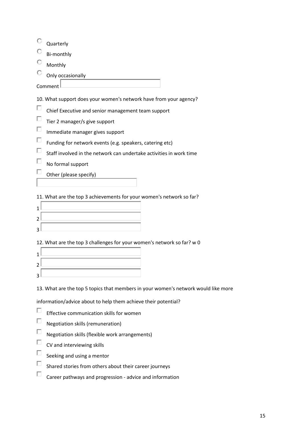| Quarterly                                                           |  |  |
|---------------------------------------------------------------------|--|--|
| Bi-monthly                                                          |  |  |
| Monthly                                                             |  |  |
| Only occasionally                                                   |  |  |
| Comment                                                             |  |  |
| 10. What support does your women's network have from your agency?   |  |  |
| Chief Executive and senior management team support                  |  |  |
| Tier 2 manager/s give support                                       |  |  |
| Immediate manager gives support                                     |  |  |
| Funding for network events (e.g. speakers, catering etc)            |  |  |
| Staff involved in the network can undertake activities in work time |  |  |
| No formal support                                                   |  |  |

П Other (please specify)

11. What are the top 3 achievements for your women's network so far?

12. What are the top 3 challenges for your women's network so far? w 0

13. What are the top 5 topics that members in your women's network would like more

information/advice about to help them achieve their potential?

- $\Box$ Effective communication skills for women
- $\Box$ Negotiation skills (remuneration)
- $\Box$ Negotiation skills (flexible work arrangements)
- $\Box$ CV and interviewing skills
- $\Box$ Seeking and using a mentor
- П Shared stories from others about their career journeys
- $\Box$ Career pathways and progression - advice and information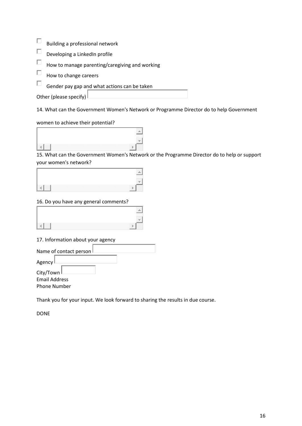- $\Box$ Building a professional network
- $\Box$ Developing a LinkedIn profile
- $\Box$ How to manage parenting/caregiving and working
- П How to change careers
- Π. Gender pay gap and what actions can be taken

Other (please specify)

14. What can the Government Women's Network or Programme Director do to help Government

women to achieve their potential?

15. What can the Government Women's Network or the Programme Director do to help or support your women's network?

| ________ |  |
|----------|--|

#### 16. Do you have any general comments?

17. Information about your agency

| Name of contact person I |  |  |
|--------------------------|--|--|
| Agency l                 |  |  |
| City/Town L              |  |  |
| <b>Email Address</b>     |  |  |
| Phone Number             |  |  |
|                          |  |  |

Thank you for your input. We look forward to sharing the results in due course.

DONE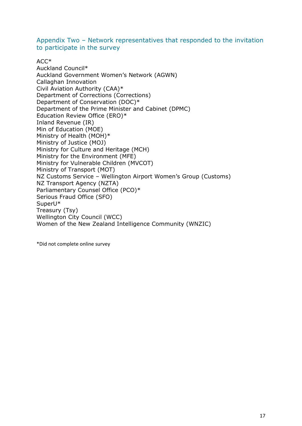Appendix Two – Network representatives that responded to the invitation to participate in the survey

#### $ACC*$

Auckland Council\* Auckland Government Women's Network (AGWN) Callaghan Innovation Civil Aviation Authority (CAA)\* Department of Corrections (Corrections) Department of Conservation (DOC)\* Department of the Prime Minister and Cabinet (DPMC) Education Review Office (ERO)\* Inland Revenue (IR) Min of Education (MOE) Ministry of Health (MOH)\* Ministry of Justice (MOJ) Ministry for Culture and Heritage (MCH) Ministry for the Environment (MFE) Ministry for Vulnerable Children (MVCOT) Ministry of Transport (MOT) NZ Customs Service – Wellington Airport Women's Group (Customs) NZ Transport Agency (NZTA) Parliamentary Counsel Office (PCO)\* Serious Fraud Office (SFO) SuperU\* Treasury (Tsy) Wellington City Council (WCC) Women of the New Zealand Intelligence Community (WNZIC)

\*Did not complete online survey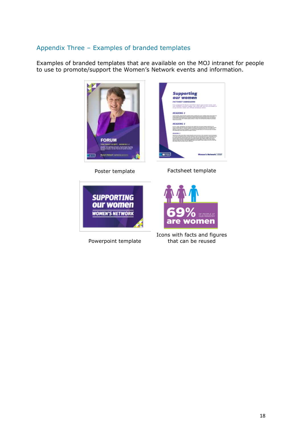# Appendix Three – Examples of branded templates

Examples of branded templates that are available on the MOJ intranet for people to use to promote/support the Women's Network events and information.





Powerpoint template

Icons with facts and figures that can be reused

nen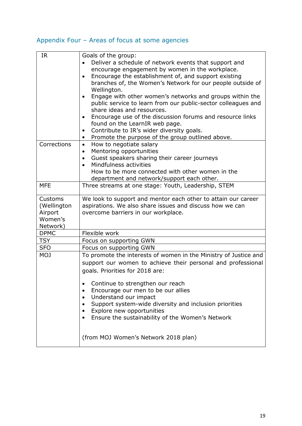# Appendix Four – Areas of focus at some agencies

| <b>IR</b>   | Goals of the group:                                                    |
|-------------|------------------------------------------------------------------------|
|             | Deliver a schedule of network events that support and                  |
|             | encourage engagement by women in the workplace.                        |
|             | Encourage the establishment of, and support existing<br>$\bullet$      |
|             | branches of, the Women's Network for our people outside of             |
|             | Wellington.                                                            |
|             | Engage with other women's networks and groups within the               |
|             | public service to learn from our public-sector colleagues and          |
|             | share ideas and resources.                                             |
|             | Encourage use of the discussion forums and resource links<br>$\bullet$ |
|             | found on the LearnIR web page.                                         |
|             | Contribute to IR's wider diversity goals.<br>$\bullet$                 |
|             | Promote the purpose of the group outlined above.<br>$\bullet$          |
| Corrections | How to negotiate salary<br>$\bullet$                                   |
|             | Mentoring opportunities<br>$\bullet$                                   |
|             | Guest speakers sharing their career journeys                           |
|             | Mindfulness activities                                                 |
|             | How to be more connected with other women in the                       |
|             | department and network/support each other.                             |
| <b>MFE</b>  | Three streams at one stage: Youth, Leadership, STEM                    |
|             |                                                                        |
| Customs     | We look to support and mentor each other to attain our career          |
| (Wellington | aspirations. We also share issues and discuss how we can               |
| Airport     | overcome barriers in our workplace.                                    |
| Women's     |                                                                        |
| Network)    |                                                                        |
| <b>DPMC</b> | Flexible work                                                          |
| <b>TSY</b>  | Focus on supporting GWN                                                |
| <b>SFO</b>  | Focus on supporting GWN                                                |
| <b>MOJ</b>  | To promote the interests of women in the Ministry of Justice and       |
|             | support our women to achieve their personal and professional           |
|             | goals. Priorities for 2018 are:                                        |
|             |                                                                        |
|             | Continue to strengthen our reach<br>٠                                  |
|             | Encourage our men to be our allies                                     |
|             | Understand our impact                                                  |
|             | Support system-wide diversity and inclusion priorities                 |
|             | Explore new opportunities                                              |
|             | Ensure the sustainability of the Women's Network                       |
|             |                                                                        |
|             |                                                                        |
|             | (from MOJ Women's Network 2018 plan)                                   |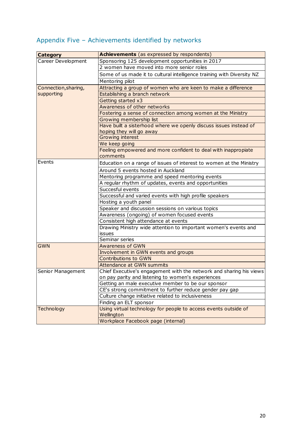# Appendix Five – Achievements identified by networks

| <b>Category</b>      | Achievements (as expressed by respondents)                             |
|----------------------|------------------------------------------------------------------------|
| Career Development   | Sponsoring 125 development opportunities in 2017                       |
|                      | 2 women have moved into more senior roles                              |
|                      | Some of us made it to cultural intelligence training with Diversity NZ |
|                      | Mentoring pilot                                                        |
| Connection, sharing, | Attracting a group of women who are keen to make a difference          |
| supporting           | Establishing a branch network                                          |
|                      | Getting started x3                                                     |
|                      | Awareness of other networks                                            |
|                      | Fostering a sense of connection among women at the Ministry            |
|                      | Growing membership list                                                |
|                      | Have built a sisterhood where we openly discuss issues instead of      |
|                      | hoping they will go away                                               |
|                      | <b>Growing interest</b>                                                |
|                      | We keep going                                                          |
|                      | Feeling empowered and more confident to deal with inappropiate         |
|                      | comments                                                               |
| Events               | Education on a range of issues of interest to women at the Ministry    |
|                      | Around 5 events hosted in Auckland                                     |
|                      | Mentoring programme and speed mentoring events                         |
|                      | A regular rhythm of updates, events and opportunities                  |
|                      | Succesful events                                                       |
|                      | Successful and varied events with high profile speakers                |
|                      | Hosting a youth panel                                                  |
|                      | Speaker and discussion sessions on various topics                      |
|                      | Awareness (ongoing) of women focused events                            |
|                      | Consistent high attendance at events                                   |
|                      | Drawing Ministry wide attention to important women's events and        |
|                      | issues                                                                 |
|                      | Seminar series                                                         |
| <b>GWN</b>           | <b>Awareness of GWN</b>                                                |
|                      | Involvement in GWN events and groups                                   |
|                      | <b>Contributions to GWN</b>                                            |
|                      | <b>Attendance at GWN summits</b>                                       |
| Senior Management    | Chief Executive's engagement with the network and sharing his views    |
|                      | on pay parity and listening to women's experiences                     |
|                      | Getting an male executive member to be our sponsor                     |
|                      | CE's strong commitment to further reduce gender pay gap                |
|                      | Culture change initiative related to inclusiveness                     |
|                      | Finding an ELT sponsor                                                 |
| <b>Technology</b>    | Using virtual technology for people to access events outside of        |
|                      | Wellington                                                             |
|                      | Workplace Facebook page (internal)                                     |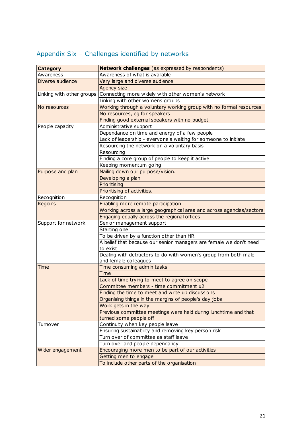| <b>Category</b>           | <b>Network challenges</b> (as expressed by respondents)              |
|---------------------------|----------------------------------------------------------------------|
| Awareness                 | Awareness of what is available                                       |
| Diverse audience          | Very large and diverse audience                                      |
|                           | Agency size                                                          |
| Linking with other groups | Connecting more widely with other women's network                    |
|                           | Linking with other womens groups                                     |
| No resources              | Working through a voluntary working group with no formal resources   |
|                           | No resources, eg for speakers                                        |
|                           | Finding good external speakers with no budget                        |
| People capacity           | Administrative support                                               |
|                           | Dependance on time and energy of a few people                        |
|                           | Lack of leadership - everyone's waiting for someone to initiate      |
|                           | Resourcing the network on a voluntary basis                          |
|                           | Resourcing                                                           |
|                           | Finding a core group of people to keep it active                     |
|                           | Keeping momentum going                                               |
| Purpose and plan          | Nailing down our purpose/vision.                                     |
|                           | Developing a plan                                                    |
|                           | <b>Prioritising</b>                                                  |
|                           | Prioritising of activities.                                          |
| Recognition               | Recognition                                                          |
| Regions                   | Enabling more remote participation                                   |
|                           | Working across a large geographical area and across agencies/sectors |
|                           | Engaging equally across the regional offices                         |
| Support for network       | Senior management support                                            |
|                           | Starting one!                                                        |
|                           | To be driven by a function other than HR                             |
|                           | A belief that because our senior managers are female we don't need   |
|                           | to exist                                                             |
|                           | Dealing with detractors to do with women's group from both male      |
|                           | and female colleagues                                                |
| Time                      | Time consuming admin tasks                                           |
|                           | Time                                                                 |
|                           | Lack of time trying to meet to agree on scope                        |
|                           | Committee members - time commitment x2                               |
|                           | Finding the time to meet and write up discussions                    |
|                           | Organising things in the margins of people's day jobs                |
|                           | Work gets in the way                                                 |
|                           | Previous committee meetings were held during lunchtime and that      |
|                           | turned some people off                                               |
| Turnover                  | Continuity when key people leave                                     |
|                           | Ensuring sustainability and removing key person risk                 |
|                           | Turn over of committee as staff leave                                |
|                           | Turn over and people dependancy                                      |
| Wider engagement          | Encouraging more men to be part of our activities                    |
|                           | Getting men to engage                                                |
|                           | To include other parts of the organisation                           |

# Appendix Six – Challenges identified by networks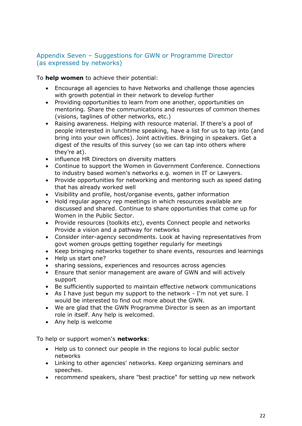## Appendix Seven – Suggestions for GWN or Programme Director (as expressed by networks)

To **help women** to achieve their potential:

- Encourage all agencies to have Networks and challenge those agencies with growth potential in their network to develop further
- Providing opportunities to learn from one another, opportunities on mentoring. Share the communications and resources of common themes (visions, taglines of other networks, etc.)
- Raising awareness. Helping with resource material. If there's a pool of people interested in lunchtime speaking, have a list for us to tap into (and bring into your own offices). Joint activities. Bringing in speakers. Get a digest of the results of this survey (so we can tap into others where they're at).
- influence HR Directors on diversity matters
- Continue to support the Women in Government Conference. Connections to industry based women's networks e.g. women in IT or Lawyers.
- Provide opportunities for networking and mentoring such as speed dating that has already worked well
- Visibility and profile, host/organise events, gather information
- Hold regular agency rep meetings in which resources available are discussed and shared. Continue to share opportunities that come up for Women in the Public Sector.
- Provide resources (toolkits etc), events Connect people and networks Provide a vision and a pathway for networks
- Consider inter-agency secondments. Look at having representatives from govt women groups getting together regularly for meetings
- Keep bringing networks together to share events, resources and learnings
- Help us start one?
- sharing sessions, experiences and resources across agencies
- Ensure that senior management are aware of GWN and will actively support
- Be sufficiently supported to maintain effective network communications
- As I have just begun my support to the network I'm not yet sure. I would be interested to find out more about the GWN.
- We are glad that the GWN Programme Director is seen as an important role in itself. Any help is welcomed.
- Any help is welcome

To help or support women's **networks**:

- Help us to connect our people in the regions to local public sector networks
- Linking to other agencies' networks. Keep organizing seminars and speeches.
- recommend speakers, share "best practice" for setting up new network